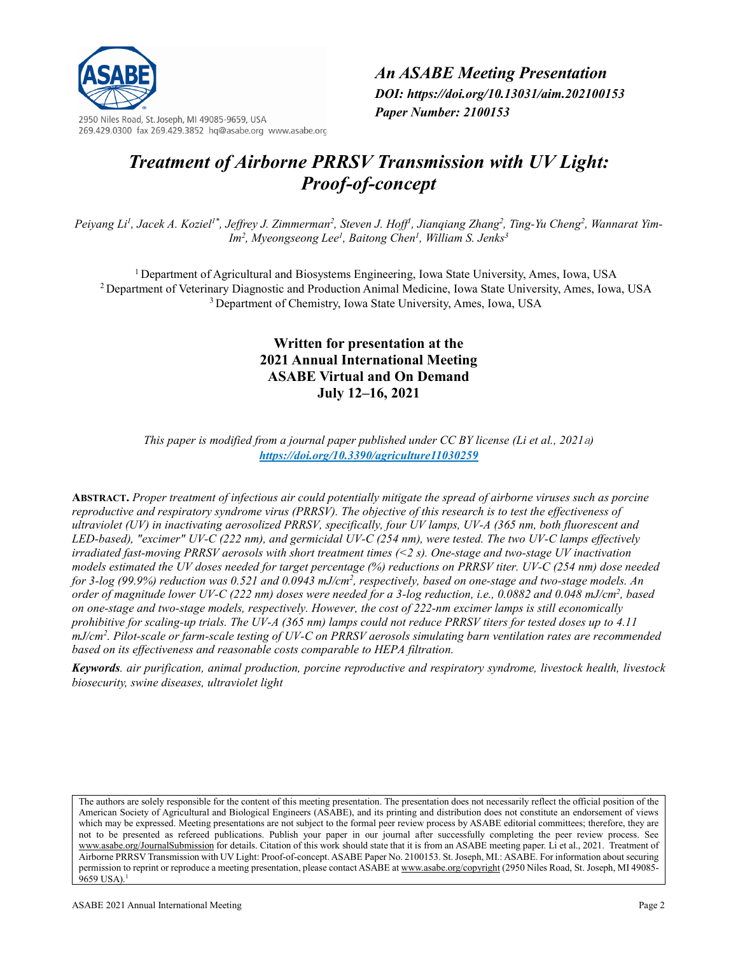

2950 Niles Road, St. Joseph, MI 49085-9659, USA 269.429.0300 fax 269.429.3852 hq@asabe.org www.asabe.org *An ASABE Meeting Presentation DOI: https://doi.org/10.13031/aim.202100153 Paper Number: 2100153*

# *Treatment of Airborne PRRSV Transmission with UV Light: Proof-of-concept*

Peiyang Li<sup>1</sup>, Jacek A. Koziel<sup>1\*</sup>, Jeffrey J. Zimmerman<sup>2</sup>, Steven J. Hoff<sup>1</sup>, Jianqiang Zhang<sup>2</sup>, Ting-Yu Cheng<sup>2</sup>, Wannarat Yim-*Im2 , Myeongseong Lee1 , Baitong Chen1 , William S. Jenks3*

1 Department of Agricultural and Biosystems Engineering, Iowa State University, Ames, Iowa, USA 2 Department of Veterinary Diagnostic and Production Animal Medicine, Iowa State University, Ames, Iowa, USA 3 Department of Chemistry, Iowa State University, Ames, Iowa, USA

# **Written for presentation at the 2021 Annual International Meeting ASABE Virtual and On Demand July 12–16, 2021**

*This paper is modified from a journal paper published under CC BY license (Li et al., 2021*a*) <https://doi.org/10.3390/agriculture11030259>*

**ABSTRACT.** *Proper treatment of infectious air could potentially mitigate the spread of airborne viruses such as porcine reproductive and respiratory syndrome virus (PRRSV). The objective of this research is to test the effectiveness of ultraviolet (UV) in inactivating aerosolized PRRSV, specifically, four UV lamps, UV-A (365 nm, both fluorescent and LED-based), "excimer" UV-C (222 nm), and germicidal UV-C (254 nm), were tested. The two UV-C lamps effectively irradiated fast-moving PRRSV aerosols with short treatment times (<2 s). One-stage and two-stage UV inactivation models estimated the UV doses needed for target percentage (%) reductions on PRRSV titer. UV-C (254 nm) dose needed*  for 3-log (99.9%) reduction was 0.521 and 0.0943 mJ/cm<sup>2</sup>, respectively, based on one-stage and two-stage models. An order of magnitude lower UV-C (222 nm) doses were needed for a 3-log reduction, i.e., 0.0882 and 0.048 mJ/cm<sup>2</sup>, based *on one-stage and two-stage models, respectively. However, the cost of 222-nm excimer lamps is still economically prohibitive for scaling-up trials. The UV-A (365 nm) lamps could not reduce PRRSV titers for tested doses up to 4.11 mJ/cm2 . Pilot-scale or farm-scale testing of UV-C on PRRSV aerosols simulating barn ventilation rates are recommended based on its effectiveness and reasonable costs comparable to HEPA filtration.*

*Keywords. air purification, animal production, porcine reproductive and respiratory syndrome, livestock health, livestock biosecurity, swine diseases, ultraviolet light*

The authors are solely responsible for the content of this meeting presentation. The presentation does not necessarily reflect the official position of the American Society of Agricultural and Biological Engineers (ASABE), and its printing and distribution does not constitute an endorsement of views which may be expressed. Meeting presentations are not subject to the formal peer review process by ASABE editorial committees; therefore, they are not to be presented as refereed publications. Publish your paper in our journal after successfully completing the peer review process. See [www.asabe.org/JournalSubmission](http://www.asabe.org/JournalSubmission) for details. Citation of this work should state that it is from an ASABE meeting paper. Li et al., 2021. Treatment of Airborne PRRSV Transmission with UV Light: Proof-of-concept. ASABE Paper No. 2100153. St. Joseph, MI.: ASABE. For information about securing permission to reprint or reproduce a meeting presentation, please contact ASABE a[t www.asabe.org/copyright](http://www.asabe.org/copyright) (2950 Niles Road, St. Joseph, MI 49085- $9659$  USA).<sup>1</sup>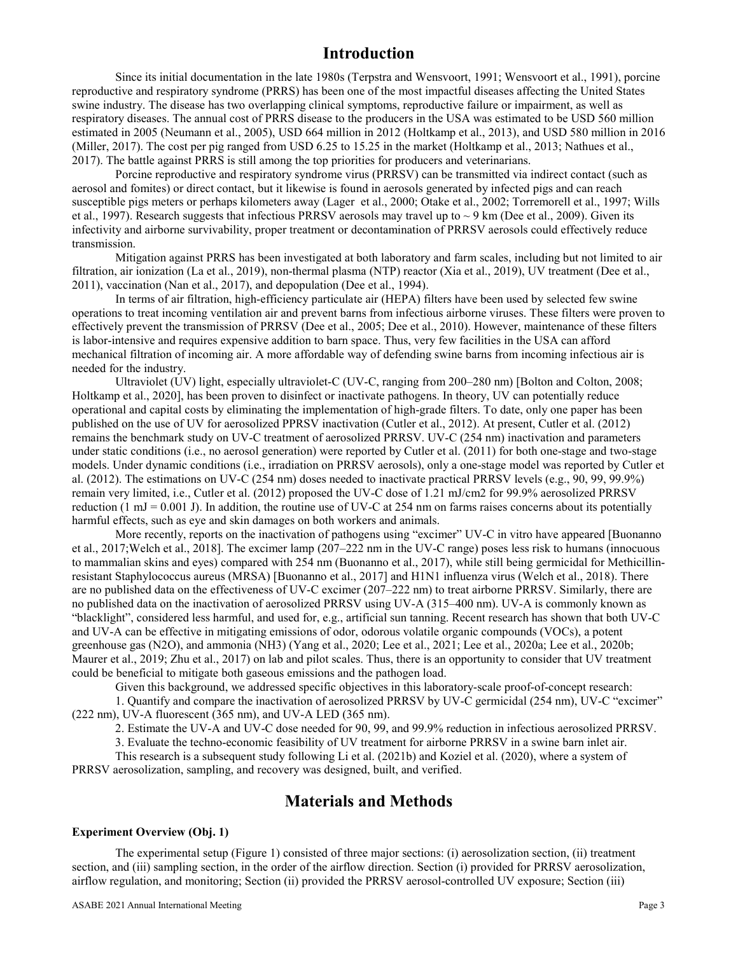# **Introduction**

Since its initial documentation in the late 1980s (Terpstra and Wensvoort, 1991; Wensvoort et al., 1991), porcine reproductive and respiratory syndrome (PRRS) has been one of the most impactful diseases affecting the United States swine industry. The disease has two overlapping clinical symptoms, reproductive failure or impairment, as well as respiratory diseases. The annual cost of PRRS disease to the producers in the USA was estimated to be USD 560 million estimated in 2005 (Neumann et al., 2005), USD 664 million in 2012 (Holtkamp et al., 2013), and USD 580 million in 2016 (Miller, 2017). The cost per pig ranged from USD 6.25 to 15.25 in the market (Holtkamp et al., 2013; Nathues et al., 2017). The battle against PRRS is still among the top priorities for producers and veterinarians.

Porcine reproductive and respiratory syndrome virus (PRRSV) can be transmitted via indirect contact (such as aerosol and fomites) or direct contact, but it likewise is found in aerosols generated by infected pigs and can reach susceptible pigs meters or perhaps kilometers away (Lager et al., 2000; Otake et al., 2002; Torremorell et al., 1997; Wills et al., 1997). Research suggests that infectious PRRSV aerosols may travel up to  $\sim$  9 km (Dee et al., 2009). Given its infectivity and airborne survivability, proper treatment or decontamination of PRRSV aerosols could effectively reduce transmission.

Mitigation against PRRS has been investigated at both laboratory and farm scales, including but not limited to air filtration, air ionization (La et al., 2019), non-thermal plasma (NTP) reactor (Xia et al., 2019), UV treatment (Dee et al., 2011), vaccination (Nan et al., 2017), and depopulation (Dee et al., 1994).

In terms of air filtration, high-efficiency particulate air (HEPA) filters have been used by selected few swine operations to treat incoming ventilation air and prevent barns from infectious airborne viruses. These filters were proven to effectively prevent the transmission of PRRSV (Dee et al., 2005; Dee et al., 2010). However, maintenance of these filters is labor-intensive and requires expensive addition to barn space. Thus, very few facilities in the USA can afford mechanical filtration of incoming air. A more affordable way of defending swine barns from incoming infectious air is needed for the industry.

Ultraviolet (UV) light, especially ultraviolet-C (UV-C, ranging from 200–280 nm) [Bolton and Colton, 2008; Holtkamp et al., 2020], has been proven to disinfect or inactivate pathogens. In theory, UV can potentially reduce operational and capital costs by eliminating the implementation of high-grade filters. To date, only one paper has been published on the use of UV for aerosolized PPRSV inactivation (Cutler et al., 2012). At present, Cutler et al. (2012) remains the benchmark study on UV-C treatment of aerosolized PRRSV. UV-C (254 nm) inactivation and parameters under static conditions (i.e., no aerosol generation) were reported by Cutler et al. (2011) for both one-stage and two-stage models. Under dynamic conditions (i.e., irradiation on PRRSV aerosols), only a one-stage model was reported by Cutler et al. (2012). The estimations on UV-C (254 nm) doses needed to inactivate practical PRRSV levels (e.g., 90, 99, 99.9%) remain very limited, i.e., Cutler et al. (2012) proposed the UV-C dose of 1.21 mJ/cm2 for 99.9% aerosolized PRRSV reduction (1 mJ = 0.001 J). In addition, the routine use of UV-C at 254 nm on farms raises concerns about its potentially harmful effects, such as eye and skin damages on both workers and animals.

More recently, reports on the inactivation of pathogens using "excimer" UV-C in vitro have appeared [Buonanno et al., 2017;Welch et al., 2018]. The excimer lamp (207–222 nm in the UV-C range) poses less risk to humans (innocuous to mammalian skins and eyes) compared with 254 nm (Buonanno et al., 2017), while still being germicidal for Methicillinresistant Staphylococcus aureus (MRSA) [Buonanno et al., 2017] and H1N1 influenza virus (Welch et al., 2018). There are no published data on the effectiveness of UV-C excimer (207–222 nm) to treat airborne PRRSV. Similarly, there are no published data on the inactivation of aerosolized PRRSV using UV-A (315–400 nm). UV-A is commonly known as "blacklight", considered less harmful, and used for, e.g., artificial sun tanning. Recent research has shown that both UV-C and UV-A can be effective in mitigating emissions of odor, odorous volatile organic compounds (VOCs), a potent greenhouse gas (N2O), and ammonia (NH3) (Yang et al., 2020; Lee et al., 2021; Lee et al., 2020a; Lee et al., 2020b; Maurer et al., 2019; Zhu et al., 2017) on lab and pilot scales. Thus, there is an opportunity to consider that UV treatment could be beneficial to mitigate both gaseous emissions and the pathogen load.

Given this background, we addressed specific objectives in this laboratory-scale proof-of-concept research:

1. Quantify and compare the inactivation of aerosolized PRRSV by UV-C germicidal (254 nm), UV-C "excimer" (222 nm), UV-A fluorescent (365 nm), and UV-A LED (365 nm).

2. Estimate the UV-A and UV-C dose needed for 90, 99, and 99.9% reduction in infectious aerosolized PRRSV.

3. Evaluate the techno-economic feasibility of UV treatment for airborne PRRSV in a swine barn inlet air.

This research is a subsequent study following Li et al. (2021b) and Koziel et al. (2020), where a system of PRRSV aerosolization, sampling, and recovery was designed, built, and verified.

# **Materials and Methods**

### **Experiment Overview (Obj. 1)**

The experimental setup (Figure 1) consisted of three major sections: (i) aerosolization section, (ii) treatment section, and (iii) sampling section, in the order of the airflow direction. Section (i) provided for PRRSV aerosolization, airflow regulation, and monitoring; Section (ii) provided the PRRSV aerosol-controlled UV exposure; Section (iii)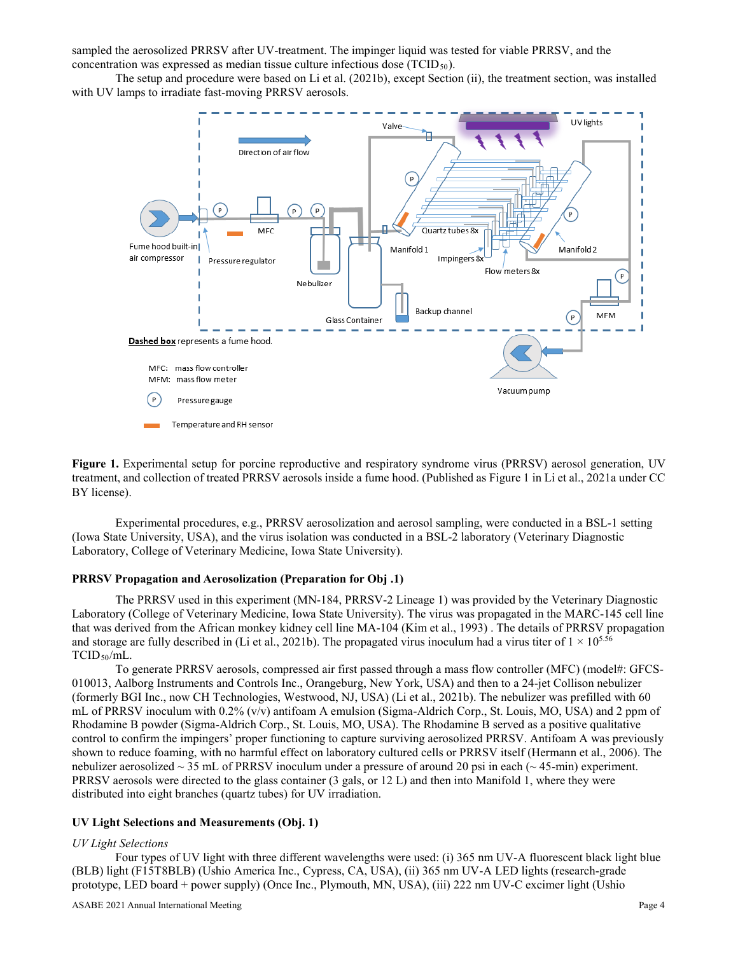sampled the aerosolized PRRSV after UV-treatment. The impinger liquid was tested for viable PRRSV, and the concentration was expressed as median tissue culture infectious dose  $(TCID<sub>50</sub>)$ .

The setup and procedure were based on Li et al. (2021b), except Section (ii), the treatment section, was installed with UV lamps to irradiate fast-moving PRRSV aerosols.



**Figure 1.** Experimental setup for porcine reproductive and respiratory syndrome virus (PRRSV) aerosol generation, UV treatment, and collection of treated PRRSV aerosols inside a fume hood. (Published as Figure 1 in Li et al., 2021a under CC BY license).

Experimental procedures, e.g., PRRSV aerosolization and aerosol sampling, were conducted in a BSL-1 setting (Iowa State University, USA), and the virus isolation was conducted in a BSL-2 laboratory (Veterinary Diagnostic Laboratory, College of Veterinary Medicine, Iowa State University).

#### **PRRSV Propagation and Aerosolization (Preparation for Obj .1)**

The PRRSV used in this experiment (MN-184, PRRSV-2 Lineage 1) was provided by the Veterinary Diagnostic Laboratory (College of Veterinary Medicine, Iowa State University). The virus was propagated in the MARC-145 cell line that was derived from the African monkey kidney cell line MA-104 (Kim et al., 1993) . The details of PRRSV propagation and storage are fully described in (Li et al., 2021b). The propagated virus inoculum had a virus titer of  $1 \times 10^{5.56}$ TCID<sub>50</sub>/mL.

To generate PRRSV aerosols, compressed air first passed through a mass flow controller (MFC) (model#: GFCS-010013, Aalborg Instruments and Controls Inc., Orangeburg, New York, USA) and then to a 24-jet Collison nebulizer (formerly BGI Inc., now CH Technologies, Westwood, NJ, USA) (Li et al., 2021b). The nebulizer was prefilled with 60 mL of PRRSV inoculum with 0.2% (v/v) antifoam A emulsion (Sigma-Aldrich Corp., St. Louis, MO, USA) and 2 ppm of Rhodamine B powder (Sigma-Aldrich Corp., St. Louis, MO, USA). The Rhodamine B served as a positive qualitative control to confirm the impingers' proper functioning to capture surviving aerosolized PRRSV. Antifoam A was previously shown to reduce foaming, with no harmful effect on laboratory cultured cells or PRRSV itself (Hermann et al., 2006). The nebulizer aerosolized  $\sim$  35 mL of PRRSV inoculum under a pressure of around 20 psi in each ( $\sim$  45-min) experiment. PRRSV aerosols were directed to the glass container (3 gals, or 12 L) and then into Manifold 1, where they were distributed into eight branches (quartz tubes) for UV irradiation.

#### **UV Light Selections and Measurements (Obj. 1)**

#### *UV Light Selections*

Four types of UV light with three different wavelengths were used: (i) 365 nm UV-A fluorescent black light blue (BLB) light (F15T8BLB) (Ushio America Inc., Cypress, CA, USA), (ii) 365 nm UV-A LED lights (research-grade prototype, LED board + power supply) (Once Inc., Plymouth, MN, USA), (iii) 222 nm UV-C excimer light (Ushio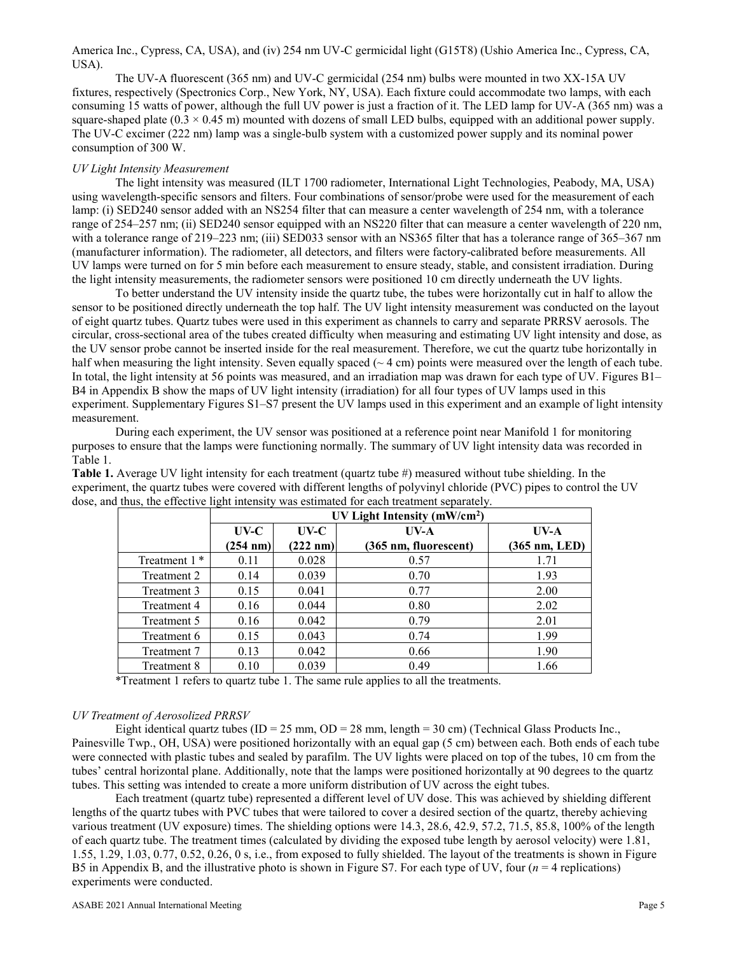America Inc., Cypress, CA, USA), and (iv) 254 nm UV-C germicidal light (G15T8) (Ushio America Inc., Cypress, CA, USA).

The UV-A fluorescent (365 nm) and UV-C germicidal (254 nm) bulbs were mounted in two XX-15A UV fixtures, respectively (Spectronics Corp., New York, NY, USA). Each fixture could accommodate two lamps, with each consuming 15 watts of power, although the full UV power is just a fraction of it. The LED lamp for UV-A (365 nm) was a square-shaped plate  $(0.3 \times 0.45 \text{ m})$  mounted with dozens of small LED bulbs, equipped with an additional power supply. The UV-C excimer (222 nm) lamp was a single-bulb system with a customized power supply and its nominal power consumption of 300 W.

#### *UV Light Intensity Measurement*

The light intensity was measured (ILT 1700 radiometer, International Light Technologies, Peabody, MA, USA) using wavelength-specific sensors and filters. Four combinations of sensor/probe were used for the measurement of each lamp: (i) SED240 sensor added with an NS254 filter that can measure a center wavelength of 254 nm, with a tolerance range of 254–257 nm; (ii) SED240 sensor equipped with an NS220 filter that can measure a center wavelength of 220 nm, with a tolerance range of 219–223 nm; (iii) SED033 sensor with an NS365 filter that has a tolerance range of 365–367 nm (manufacturer information). The radiometer, all detectors, and filters were factory-calibrated before measurements. All UV lamps were turned on for 5 min before each measurement to ensure steady, stable, and consistent irradiation. During the light intensity measurements, the radiometer sensors were positioned 10 cm directly underneath the UV lights.

To better understand the UV intensity inside the quartz tube, the tubes were horizontally cut in half to allow the sensor to be positioned directly underneath the top half. The UV light intensity measurement was conducted on the layout of eight quartz tubes. Quartz tubes were used in this experiment as channels to carry and separate PRRSV aerosols. The circular, cross-sectional area of the tubes created difficulty when measuring and estimating UV light intensity and dose, as the UV sensor probe cannot be inserted inside for the real measurement. Therefore, we cut the quartz tube horizontally in half when measuring the light intensity. Seven equally spaced  $(~4 cm)$  points were measured over the length of each tube. In total, the light intensity at 56 points was measured, and an irradiation map was drawn for each type of UV. Figures B1– B4 in Appendix B show the maps of UV light intensity (irradiation) for all four types of UV lamps used in this experiment. Supplementary Figures S1–S7 present the UV lamps used in this experiment and an example of light intensity measurement.

During each experiment, the UV sensor was positioned at a reference point near Manifold 1 for monitoring purposes to ensure that the lamps were functioning normally. The summary of UV light intensity data was recorded in Table 1.

**Table 1.** Average UV light intensity for each treatment (quartz tube #) measured without tube shielding. In the experiment, the quartz tubes were covered with different lengths of polyvinyl chloride (PVC) pipes to control the UV dose, and thus, the effective light intensity was estimated for each treatment separately.

|                          | UV Light Intensity ( $mW/cm2$ ) |                    |                       |               |
|--------------------------|---------------------------------|--------------------|-----------------------|---------------|
|                          | $UV-C$                          | $UV-C$             | $UV-A$                | UVA           |
|                          | $(254 \text{ nm})$              | $(222 \text{ nm})$ | (365 nm, fluorescent) | (365 nm, LED) |
| Treatment 1 <sup>*</sup> | 0.11                            | 0.028              | 0.57                  | 1.71          |
| Treatment 2              | 0.14                            | 0.039              | 0.70                  | 1.93          |
| Treatment 3              | 0.15                            | 0.041              | 0.77                  | 2.00          |
| Treatment 4              | 0.16                            | 0.044              | 0.80                  | 2.02          |
| Treatment 5              | 0.16                            | 0.042              | 0.79                  | 2.01          |
| Treatment 6              | 0.15                            | 0.043              | 0.74                  | 1.99          |
| Treatment 7              | 0.13                            | 0.042              | 0.66                  | 1.90          |
| Treatment 8              | 0.10                            | 0.039              | 0.49                  | 1.66          |

\*Treatment 1 refers to quartz tube 1. The same rule applies to all the treatments.

#### *UV Treatment of Aerosolized PRRSV*

Eight identical quartz tubes (ID = 25 mm, OD = 28 mm, length = 30 cm) (Technical Glass Products Inc., Painesville Twp., OH, USA) were positioned horizontally with an equal gap (5 cm) between each. Both ends of each tube were connected with plastic tubes and sealed by parafilm. The UV lights were placed on top of the tubes, 10 cm from the tubes' central horizontal plane. Additionally, note that the lamps were positioned horizontally at 90 degrees to the quartz tubes. This setting was intended to create a more uniform distribution of UV across the eight tubes.

Each treatment (quartz tube) represented a different level of UV dose. This was achieved by shielding different lengths of the quartz tubes with PVC tubes that were tailored to cover a desired section of the quartz, thereby achieving various treatment (UV exposure) times. The shielding options were 14.3, 28.6, 42.9, 57.2, 71.5, 85.8, 100% of the length of each quartz tube. The treatment times (calculated by dividing the exposed tube length by aerosol velocity) were 1.81, 1.55, 1.29, 1.03, 0.77, 0.52, 0.26, 0 s, i.e., from exposed to fully shielded. The layout of the treatments is shown in Figure B5 in Appendix B, and the illustrative photo is shown in Figure S7. For each type of UV, four (*n* = 4 replications) experiments were conducted.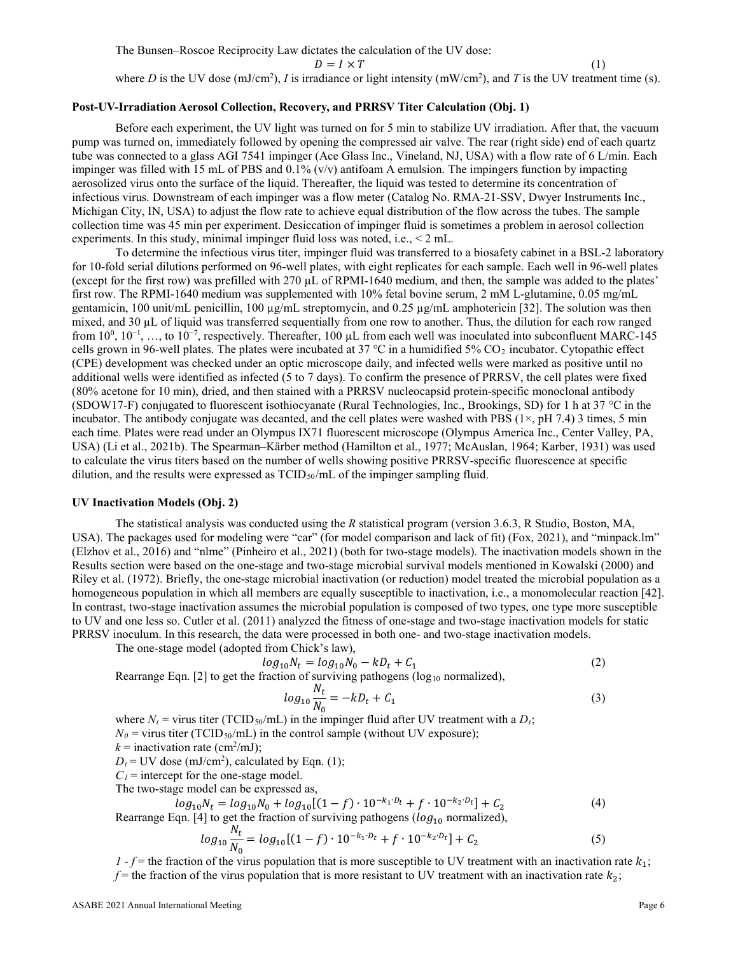The Bunsen–Roscoe Reciprocity Law dictates the calculation of the UV dose:  $D = I \times T$  (1) where D is the UV dose  $(mJ/cm<sup>2</sup>)$ , I is irradiance or light intensity  $(mW/cm<sup>2</sup>)$ , and T is the UV treatment time (s).

# **Post-UV-Irradiation Aerosol Collection, Recovery, and PRRSV Titer Calculation (Obj. 1)**

Before each experiment, the UV light was turned on for 5 min to stabilize UV irradiation. After that, the vacuum pump was turned on, immediately followed by opening the compressed air valve. The rear (right side) end of each quartz tube was connected to a glass AGI 7541 impinger (Ace Glass Inc., Vineland, NJ, USA) with a flow rate of 6 L/min. Each impinger was filled with 15 mL of PBS and 0.1% (v/v) antifoam A emulsion. The impingers function by impacting aerosolized virus onto the surface of the liquid. Thereafter, the liquid was tested to determine its concentration of infectious virus. Downstream of each impinger was a flow meter (Catalog No. RMA-21-SSV, Dwyer Instruments Inc., Michigan City, IN, USA) to adjust the flow rate to achieve equal distribution of the flow across the tubes. The sample collection time was 45 min per experiment. Desiccation of impinger fluid is sometimes a problem in aerosol collection experiments. In this study, minimal impinger fluid loss was noted, i.e., < 2 mL.

To determine the infectious virus titer, impinger fluid was transferred to a biosafety cabinet in a BSL-2 laboratory for 10-fold serial dilutions performed on 96-well plates, with eight replicates for each sample. Each well in 96-well plates (except for the first row) was prefilled with 270 µL of RPMI-1640 medium, and then, the sample was added to the plates' first row. The RPMI-1640 medium was supplemented with 10% fetal bovine serum, 2 mM L-glutamine, 0.05 mg/mL gentamicin, 100 unit/mL penicillin, 100  $\mu$ g/mL streptomycin, and 0.25  $\mu$ g/mL amphotericin [32]. The solution was then mixed, and 30 µL of liquid was transferred sequentially from one row to another. Thus, the dilution for each row ranged from  $10^0$ ,  $10^{-1}$ , ..., to  $10^{-7}$ , respectively. Thereafter, 100 µL from each well was inoculated into subconfluent MARC-145 cells grown in 96-well plates. The plates were incubated at 37 °C in a humidified 5%  $CO_2$  incubator. Cytopathic effect (CPE) development was checked under an optic microscope daily, and infected wells were marked as positive until no additional wells were identified as infected (5 to 7 days). To confirm the presence of PRRSV, the cell plates were fixed (80% acetone for 10 min), dried, and then stained with a PRRSV nucleocapsid protein-specific monoclonal antibody (SDOW17-F) conjugated to fluorescent isothiocyanate (Rural Technologies, Inc., Brookings, SD) for 1 h at 37 °C in the incubator. The antibody conjugate was decanted, and the cell plates were washed with PBS  $(1\times, pH 7.4)$  3 times, 5 min each time. Plates were read under an Olympus IX71 fluorescent microscope (Olympus America Inc., Center Valley, PA, USA) (Li et al., 2021b). The Spearman–Kärber method (Hamilton et al., 1977; McAuslan, 1964; Karber, 1931) was used to calculate the virus titers based on the number of wells showing positive PRRSV-specific fluorescence at specific dilution, and the results were expressed as  $TCID_{50}/mL$  of the impinger sampling fluid.

# **UV Inactivation Models (Obj. 2)**

The statistical analysis was conducted using the *R* statistical program (version 3.6.3, R Studio, Boston, MA, USA). The packages used for modeling were "car" (for model comparison and lack of fit) (Fox, 2021), and "minpack.lm" (Elzhov et al., 2016) and "nlme" (Pinheiro et al., 2021) (both for two-stage models). The inactivation models shown in the Results section were based on the one-stage and two-stage microbial survival models mentioned in Kowalski (2000) and Riley et al. (1972). Briefly, the one-stage microbial inactivation (or reduction) model treated the microbial population as a homogeneous population in which all members are equally susceptible to inactivation, i.e., a monomolecular reaction [42]. In contrast, two-stage inactivation assumes the microbial population is composed of two types, one type more susceptible to UV and one less so. Cutler et al. (2011) analyzed the fitness of one-stage and two-stage inactivation models for static PRRSV inoculum. In this research, the data were processed in both one- and two-stage inactivation models.

The one-stage model (adopted from Chick's law),

$$
log_{10}N_t = log_{10}N_0 - kD_t + C_1
$$
 (2)

Rearrange Eqn. [2] to get the fraction of surviving pathogens ( $log_{10}$  normalized),

$$
log_{10} \frac{N_t}{N_0} = -kD_t + C_1
$$
\n(3)

where  $N_t$  = virus titer (TCID<sub>50</sub>/mL) in the impinger fluid after UV treatment with a  $D_t$ ;  $N_0$  = virus titer (TCID<sub>50</sub>/mL) in the control sample (without UV exposure);  $k =$  inactivation rate (cm<sup>2</sup>/mJ);

 $D_t$  = UV dose (mJ/cm<sup>2</sup>), calculated by Eqn. (1);

 $C_1$  = intercept for the one-stage model.

The two-stage model can be expressed as,

$$
log_{10}N_t = log_{10}N_0 + log_{10}[(1-f) \cdot 10^{-k_1D_t} + f \cdot 10^{-k_2D_t}] + C_2
$$
\n(4)

Rearrange Eqn. [4] to get the fraction of surviving pathogens ( $log_{10}$  normalized),

$$
log_{10} \frac{N_t}{N_0} = log_{10}[(1-f) \cdot 10^{-k_1 \cdot D_t} + f \cdot 10^{-k_2 \cdot D_t}] + C_2
$$
\n(5)

*1* -  $f$  = the fraction of the virus population that is more susceptible to UV treatment with an inactivation rate  $k_1$ ;  $f$  = the fraction of the virus population that is more resistant to UV treatment with an inactivation rate  $k_2$ ;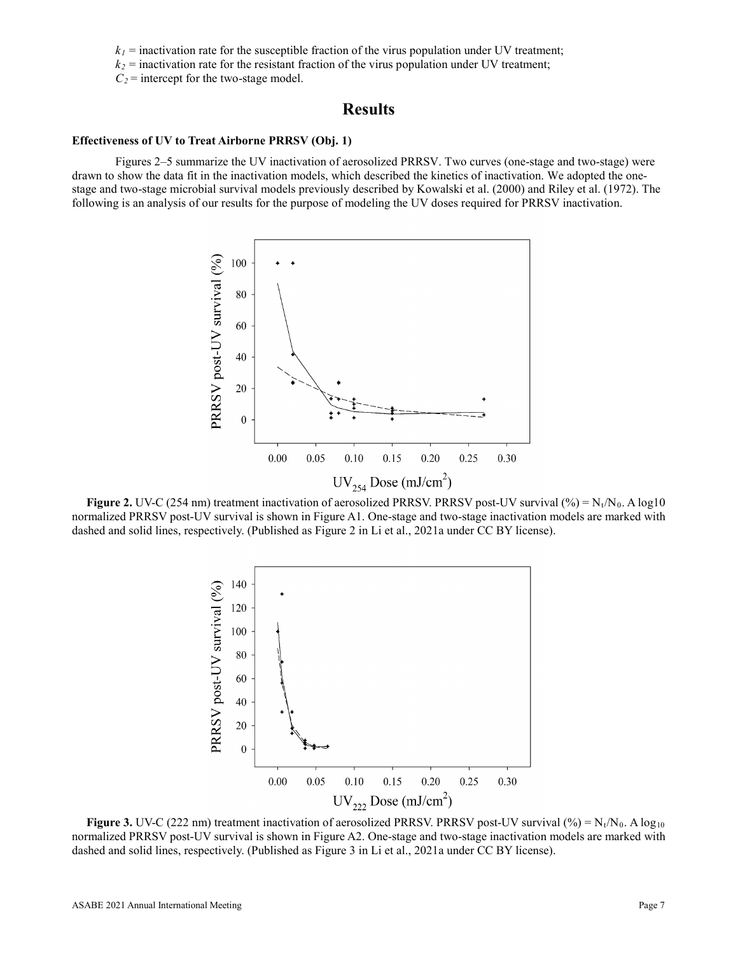$k_1$  = inactivation rate for the susceptible fraction of the virus population under UV treatment;

 $k_2$  = inactivation rate for the resistant fraction of the virus population under UV treatment;

 $C_2$  = intercept for the two-stage model.

# **Results**

### **Effectiveness of UV to Treat Airborne PRRSV (Obj. 1)**

Figures 2–5 summarize the UV inactivation of aerosolized PRRSV. Two curves (one-stage and two-stage) were drawn to show the data fit in the inactivation models, which described the kinetics of inactivation. We adopted the onestage and two-stage microbial survival models previously described by Kowalski et al. (2000) and Riley et al. (1972). The following is an analysis of our results for the purpose of modeling the UV doses required for PRRSV inactivation.



**Figure 2.** UV-C (254 nm) treatment inactivation of aerosolized PRRSV. PRRSV post-UV survival (%) =  $N_t/N_0$ . A log10 normalized PRRSV post-UV survival is shown in Figure A1. One-stage and two-stage inactivation models are marked with dashed and solid lines, respectively. (Published as Figure 2 in Li et al., 2021a under CC BY license).



**Figure 3.** UV-C (222 nm) treatment inactivation of aerosolized PRRSV. PRRSV post-UV survival (%) =  $N_t/N_0$ . A  $log_{10}$ normalized PRRSV post-UV survival is shown in Figure A2. One-stage and two-stage inactivation models are marked with dashed and solid lines, respectively. (Published as Figure 3 in Li et al., 2021a under CC BY license).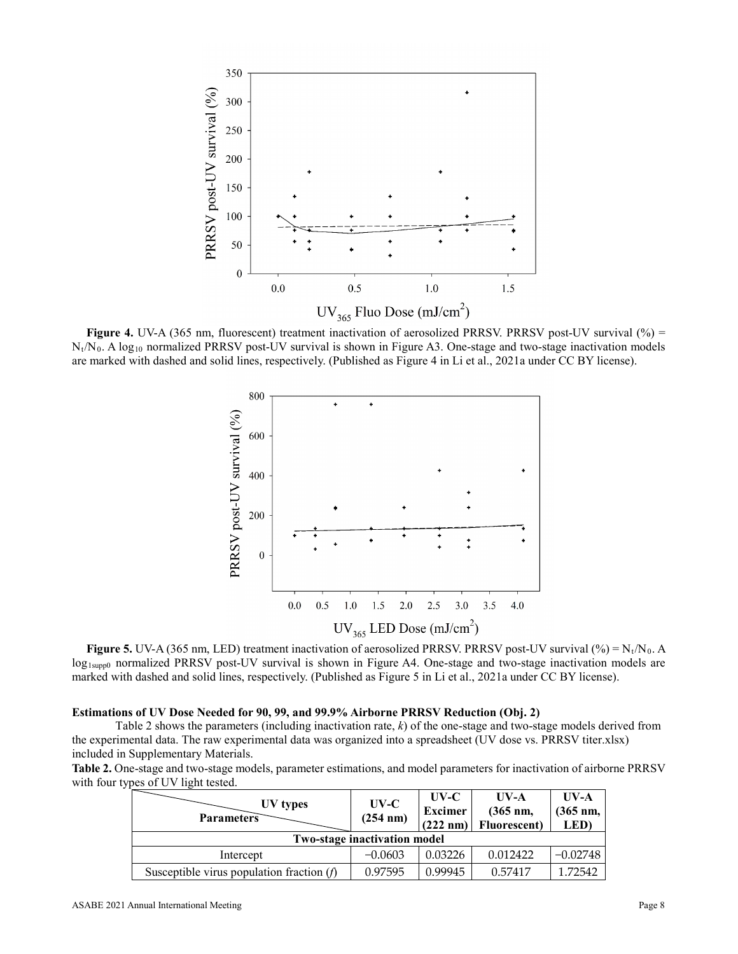

**Figure 4.** UV-A (365 nm, fluorescent) treatment inactivation of aerosolized PRRSV. PRRSV post-UV survival (%) =  $N_t/N_0$ . A log<sub>10</sub> normalized PRRSV post-UV survival is shown in Figure A3. One-stage and two-stage inactivation models are marked with dashed and solid lines, respectively. (Published as Figure 4 in Li et al., 2021a under CC BY license).



**Figure 5.** UV-A (365 nm, LED) treatment inactivation of aerosolized PRRSV. PRRSV post-UV survival (%) =  $N_t/N_0$ . A log<sub>1supp0</sub> normalized PRRSV post-UV survival is shown in Figure A4. One-stage and two-stage inactivation models are marked with dashed and solid lines, respectively. (Published as Figure 5 in Li et al., 2021a under CC BY license).

#### **Estimations of UV Dose Needed for 90, 99, and 99.9% Airborne PRRSV Reduction (Obj. 2)**

Table 2 shows the parameters (including inactivation rate, *k*) of the one-stage and two-stage models derived from the experimental data. The raw experimental data was organized into a spreadsheet (UV dose vs. PRRSV titer.xlsx) included in Supplementary Materials.

**Table 2.** One-stage and two-stage models, parameter estimations, and model parameters for inactivation of airborne PRRSV with four types of UV light tested.

| UV types<br><b>Parameters</b>               | $UV-C$<br>(254 nm) | UV-C<br>Excimer<br>$(222 \text{ nm})$ | $UV-A$<br>$(365 \text{ nm},$<br><b>Fluorescent</b> ) | $UV-A$<br>$(365$ nm,<br><b>LED</b> ) |
|---------------------------------------------|--------------------|---------------------------------------|------------------------------------------------------|--------------------------------------|
| <b>Two-stage inactivation model</b>         |                    |                                       |                                                      |                                      |
| Intercept                                   | $-0.0603$          | 0.03226                               | 0.012422                                             | $-0.02748$                           |
| Susceptible virus population fraction $(f)$ | 0.97595            | 0.99945                               | 0.57417                                              | 1.72542                              |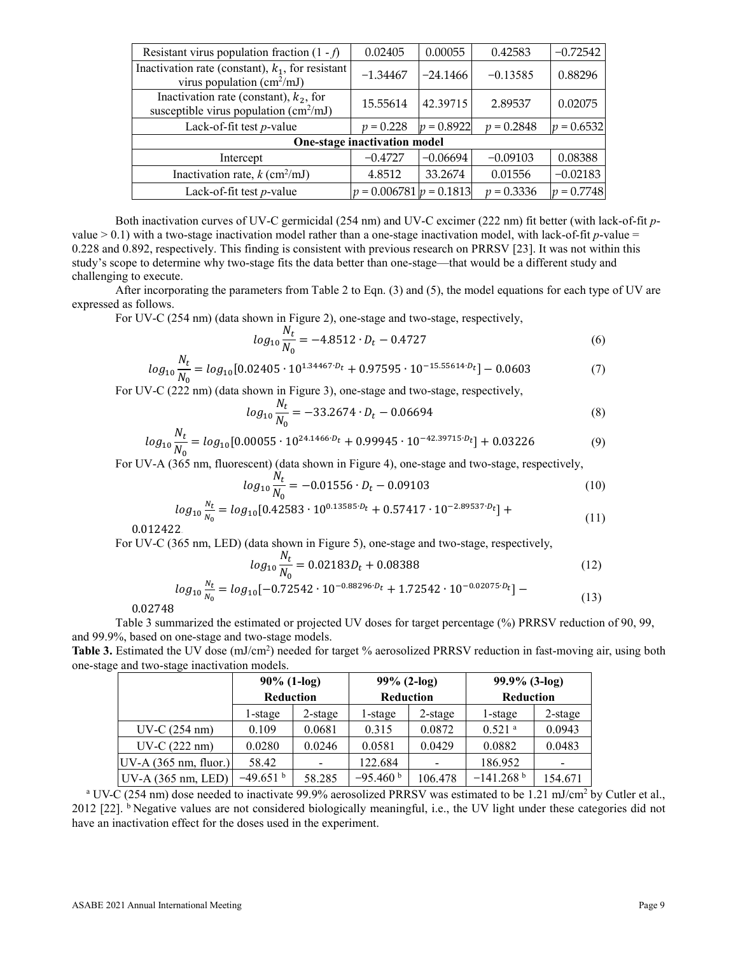| Resistant virus population fraction $(1 - f)$                                                 | 0.02405                     | 0.00055                        | 0.42583      | $-0.72542$   |  |
|-----------------------------------------------------------------------------------------------|-----------------------------|--------------------------------|--------------|--------------|--|
| Inactivation rate (constant), $k_1$ , for resistant<br>virus population (cm <sup>2</sup> /mJ) | $-1.34467$                  | $-24.1466$                     | $-0.13585$   | 0.88296      |  |
| Inactivation rate (constant), $k_2$ , for<br>susceptible virus population $(cm^2/mJ)$         | 15.55614                    | 42.39715                       | 2.89537      | 0.02075      |  |
| Lack-of-fit test $p$ -value                                                                   | $p = 0.228$                 | $= 0.8922$<br>$\boldsymbol{v}$ | $p = 0.2848$ | $p = 0.6532$ |  |
| One-stage inactivation model                                                                  |                             |                                |              |              |  |
| Intercept                                                                                     | $-0.4727$                   | $-0.06694$                     | $-0.09103$   | 0.08388      |  |
| Inactivation rate, $k$ (cm <sup>2</sup> /mJ)                                                  | 4.8512                      | 33.2674                        | 0.01556      | $-0.02183$   |  |
| Lack-of-fit test $p$ -value                                                                   | $p = 0.006781$ $p = 0.1813$ |                                | $p = 0.3336$ | $p = 0.7748$ |  |
|                                                                                               |                             |                                |              |              |  |

Both inactivation curves of UV-C germicidal (254 nm) and UV-C excimer (222 nm) fit better (with lack-of-fit *p*value  $> 0.1$ ) with a two-stage inactivation model rather than a one-stage inactivation model, with lack-of-fit *p*-value = 0.228 and 0.892, respectively. This finding is consistent with previous research on PRRSV [23]. It was not within this study's scope to determine why two-stage fits the data better than one-stage—that would be a different study and challenging to execute.

After incorporating the parameters from Table 2 to Eqn. (3) and (5), the model equations for each type of UV are expressed as follows.

For UV-C (254 nm) (data shown in Figure 2), one-stage and two-stage, respectively,

$$
log_{10} \frac{N_t}{N_0} = -4.8512 \cdot D_t - 0.4727 \tag{6}
$$

$$
log_{10} \frac{N_t}{N_0} = log_{10}[0.02405 \cdot 10^{1.34467 \cdot D_t} + 0.97595 \cdot 10^{-15.55614 \cdot D_t}] - 0.0603\tag{7}
$$

For UV-C (222 nm) (data shown in Figure 3), one-stage and two-stage, respectively,

$$
log_{10} \frac{N_t}{N_0} = -33.2674 \cdot D_t - 0.06694 \tag{8}
$$

$$
log_{10} \frac{N_t}{N_0} = log_{10}[0.00055 \cdot 10^{24.1466 \cdot D_t} + 0.99945 \cdot 10^{-42.39715 \cdot D_t}] + 0.03226 \tag{9}
$$

For UV-A (365 nm, fluorescent) (data shown in Figure 4), one-stage and two-stage, respectively,

$$
log_{10} \frac{N_t}{N_0} = -0.01556 \cdot D_t - 0.09103 \tag{10}
$$

$$
log_{10} \frac{N_t}{N_0} = log_{10}[0.42583 \cdot 10^{0.13585 \cdot D_t} + 0.57417 \cdot 10^{-2.89537 \cdot D_t}] +
$$
\n(11)

0.012422

For UV-C (365 nm, LED) (data shown in Figure 5), one-stage and two-stage, respectively,

$$
log_{10} \frac{N_t}{N_0} = 0.02183 D_t + 0.08388 \tag{12}
$$

$$
log_{10} \frac{N_t}{N_0} = log_{10}[-0.72542 \cdot 10^{-0.88296 \cdot D_t} + 1.72542 \cdot 10^{-0.02075 \cdot D_t}] -
$$
\n(13)

0.02748

Table 3 summarized the estimated or projected UV doses for target percentage (%) PRRSV reduction of 90, 99, and 99.9%, based on one-stage and two-stage models.

Table 3. Estimated the UV dose (mJ/cm<sup>2</sup>) needed for target % aerosolized PRRSV reduction in fast-moving air, using both one-stage and two-stage inactivation models.

|                           | $90\%$ (1-log)<br><b>Reduction</b> |            | $99\%$ (2-log)<br>Reduction |            | $99.9\%$ (3-log)        |            |
|---------------------------|------------------------------------|------------|-----------------------------|------------|-------------------------|------------|
|                           |                                    |            |                             |            | <b>Reduction</b>        |            |
|                           | l-stage                            | $2$ -stage | 1-stage                     | $2$ -stage | 1-stage                 | $2$ -stage |
| $UV-C(254 nm)$            | 0.109                              | 0.0681     | 0.315                       | 0.0872     | $0.521$ <sup>a</sup>    | 0.0943     |
| $UV-C(222 nm)$            | 0.0280                             | 0.0246     | 0.0581                      | 0.0429     | 0.0882                  | 0.0483     |
| $ UV-A (365 nm, fluor.) $ | 58.42                              |            | 122.684                     |            | 186.952                 |            |
| $UV-A$ (365 nm, LED)      | $-49.651$ <sup>b</sup>             | 58.285     | $-95.460b$                  | 106.478    | $-141.268$ <sup>b</sup> | 154.671    |

<sup>a</sup> UV-C (254 nm) dose needed to inactivate 99.9% aerosolized PRRSV was estimated to be 1.21 mJ/cm<sup>2</sup> by Cutler et al.,  $2012$  [22].  $\frac{b}{c}$  Negative values are not considered biologically meaningful, i.e., the UV light under these categories did not have an inactivation effect for the doses used in the experiment.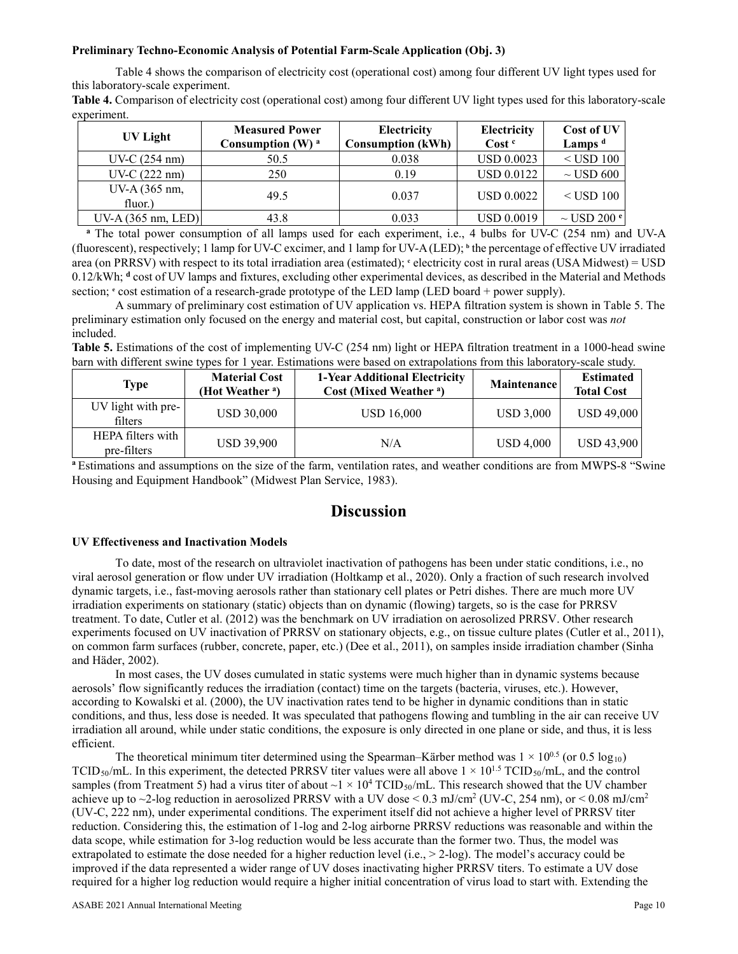### **Preliminary Techno-Economic Analysis of Potential Farm-Scale Application (Obj. 3)**

Table 4 shows the comparison of electricity cost (operational cost) among four different UV light types used for this laboratory-scale experiment.

**Table 4.** Comparison of electricity cost (operational cost) among four different UV light types used for this laboratory-scale experiment.

| UV Light                 | <b>Measured Power</b><br>Consumption $(W)$ <sup>a</sup> | Electricity<br><b>Consumption (kWh)</b> | Electricity<br>Cost <sup>c</sup> | Cost of UV<br>Lamps $d$   |
|--------------------------|---------------------------------------------------------|-----------------------------------------|----------------------------------|---------------------------|
| $UV-C (254 nm)$          | 50.5                                                    | 0.038                                   | <b>USD 0.0023</b>                | $<$ USD 100               |
| $UV-C(222 nm)$           | 250                                                     | 0.19                                    | <b>USD 0.0122</b>                | $\sim$ USD 600            |
| UV-A (365 nm,<br>fluor.) | 49.5                                                    | 0.037                                   | <b>USD 0.0022</b>                | $<$ USD 100               |
| $UV-A$ (365 nm, LED)     | 43.8                                                    | 0.033                                   | <b>USD 0.0019</b>                | $\sim$ USD 200 $^{\circ}$ |

**<sup>a</sup>** The total power consumption of all lamps used for each experiment, i.e., 4 bulbs for UV-C (254 nm) and UV-A (fluorescent), respectively; 1 lamp for UV-C excimer, and 1 lamp for UV-A (LED); **<sup>b</sup>** the percentage of effective UV irradiated area (on PRRSV) with respect to its total irradiation area (estimated); **<sup>c</sup>** electricity cost in rural areas (USA Midwest) = USD 0.12/kWh; **<sup>d</sup>** cost of UV lamps and fixtures, excluding other experimental devices, as described in the Material and Methods section;  $\epsilon$  cost estimation of a research-grade prototype of the LED lamp (LED board + power supply).

A summary of preliminary cost estimation of UV application vs. HEPA filtration system is shown in Table 5. The preliminary estimation only focused on the energy and material cost, but capital, construction or labor cost was *not* included.

**Table 5.** Estimations of the cost of implementing UV-C (254 nm) light or HEPA filtration treatment in a 1000-head swine barn with different swine types for 1 year. Estimations were based on extrapolations from this laboratory-scale study.

| Type                             | <b>Material Cost</b><br>(Hot Weather <sup>a</sup> ) | 1-Year Additional Electricity<br>Cost (Mixed Weather <sup>a</sup> ) | <b>Maintenance</b> | <b>Estimated</b><br><b>Total Cost</b> |
|----------------------------------|-----------------------------------------------------|---------------------------------------------------------------------|--------------------|---------------------------------------|
| UV light with pre-<br>filters    | <b>USD 30,000</b>                                   | <b>USD 16,000</b>                                                   | <b>USD 3,000</b>   | USD 49,000                            |
| HEPA filters with<br>pre-filters | <b>USD 39,900</b>                                   | N/A                                                                 | <b>USD 4,000</b>   | <b>USD 43,900</b>                     |

**<sup>a</sup>**Estimations and assumptions on the size of the farm, ventilation rates, and weather conditions are from MWPS-8 "Swine Housing and Equipment Handbook" (Midwest Plan Service, 1983).

# **Discussion**

### **UV Effectiveness and Inactivation Models**

To date, most of the research on ultraviolet inactivation of pathogens has been under static conditions, i.e., no viral aerosol generation or flow under UV irradiation (Holtkamp et al., 2020). Only a fraction of such research involved dynamic targets, i.e., fast-moving aerosols rather than stationary cell plates or Petri dishes. There are much more UV irradiation experiments on stationary (static) objects than on dynamic (flowing) targets, so is the case for PRRSV treatment. To date, Cutler et al. (2012) was the benchmark on UV irradiation on aerosolized PRRSV. Other research experiments focused on UV inactivation of PRRSV on stationary objects, e.g., on tissue culture plates (Cutler et al., 2011), on common farm surfaces (rubber, concrete, paper, etc.) (Dee et al., 2011), on samples inside irradiation chamber (Sinha and Häder, 2002).

In most cases, the UV doses cumulated in static systems were much higher than in dynamic systems because aerosols' flow significantly reduces the irradiation (contact) time on the targets (bacteria, viruses, etc.). However, according to Kowalski et al. (2000), the UV inactivation rates tend to be higher in dynamic conditions than in static conditions, and thus, less dose is needed. It was speculated that pathogens flowing and tumbling in the air can receive UV irradiation all around, while under static conditions, the exposure is only directed in one plane or side, and thus, it is less efficient.

The theoretical minimum titer determined using the Spearman–Kärber method was  $1 \times 10^{0.5}$  (or 0.5 log<sub>10</sub>) TCID<sub>50</sub>/mL. In this experiment, the detected PRRSV titer values were all above  $1 \times 10^{1.5}$  TCID<sub>50</sub>/mL, and the control samples (from Treatment 5) had a virus titer of about  $\sim$ 1  $\times$  10<sup>4</sup> TCID<sub>50</sub>/mL. This research showed that the UV chamber achieve up to  $\sim$ 2-log reduction in aerosolized PRRSV with a UV dose < 0.3 mJ/cm<sup>2</sup> (UV-C, 254 nm), or < 0.08 mJ/cm<sup>2</sup> (UV-C, 222 nm), under experimental conditions. The experiment itself did not achieve a higher level of PRRSV titer reduction. Considering this, the estimation of 1-log and 2-log airborne PRRSV reductions was reasonable and within the data scope, while estimation for 3-log reduction would be less accurate than the former two. Thus, the model was extrapolated to estimate the dose needed for a higher reduction level (i.e., > 2-log). The model's accuracy could be improved if the data represented a wider range of UV doses inactivating higher PRRSV titers. To estimate a UV dose required for a higher log reduction would require a higher initial concentration of virus load to start with. Extending the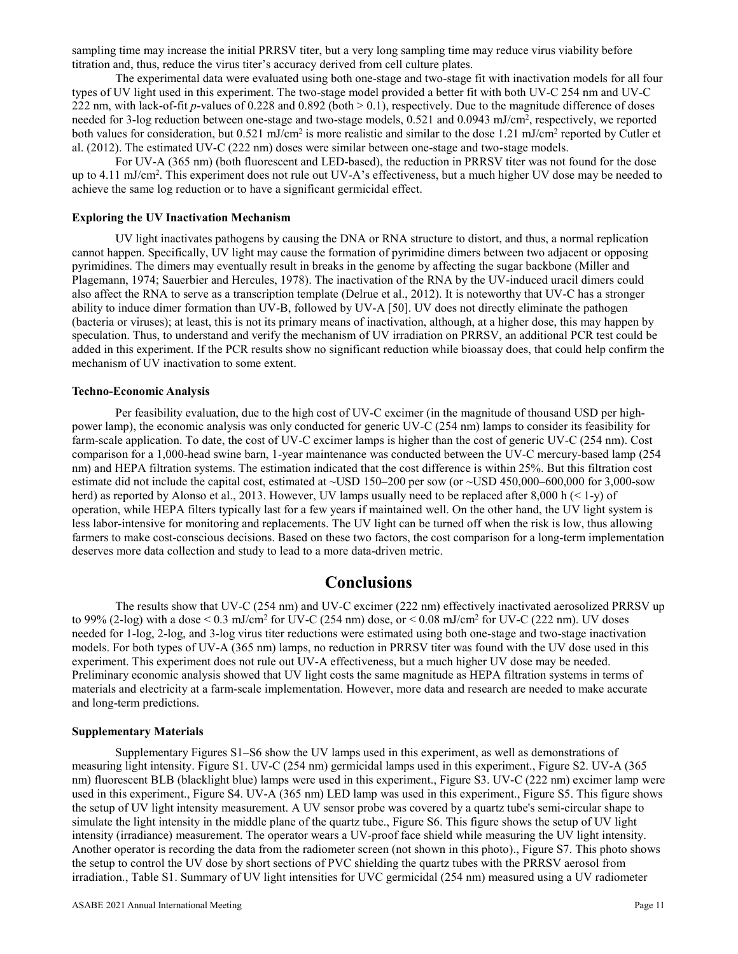sampling time may increase the initial PRRSV titer, but a very long sampling time may reduce virus viability before titration and, thus, reduce the virus titer's accuracy derived from cell culture plates.

The experimental data were evaluated using both one-stage and two-stage fit with inactivation models for all four types of UV light used in this experiment. The two-stage model provided a better fit with both UV-C 254 nm and UV-C 222 nm, with lack-of-fit  $p$ -values of 0.228 and 0.892 (both  $> 0.1$ ), respectively. Due to the magnitude difference of doses needed for 3-log reduction between one-stage and two-stage models, 0.521 and 0.0943 mJ/cm<sup>2</sup>, respectively, we reported both values for consideration, but  $0.521 \text{ mJ/cm}^2$  is more realistic and similar to the dose 1.21 mJ/cm<sup>2</sup> reported by Cutler et al. (2012). The estimated UV-C (222 nm) doses were similar between one-stage and two-stage models.

For UV-A (365 nm) (both fluorescent and LED-based), the reduction in PRRSV titer was not found for the dose up to 4.11 mJ/cm<sup>2</sup>. This experiment does not rule out UV-A's effectiveness, but a much higher UV dose may be needed to achieve the same log reduction or to have a significant germicidal effect.

### **Exploring the UV Inactivation Mechanism**

UV light inactivates pathogens by causing the DNA or RNA structure to distort, and thus, a normal replication cannot happen. Specifically, UV light may cause the formation of pyrimidine dimers between two adjacent or opposing pyrimidines. The dimers may eventually result in breaks in the genome by affecting the sugar backbone (Miller and Plagemann, 1974; Sauerbier and Hercules, 1978). The inactivation of the RNA by the UV-induced uracil dimers could also affect the RNA to serve as a transcription template (Delrue et al., 2012). It is noteworthy that UV-C has a stronger ability to induce dimer formation than UV-B, followed by UV-A [50]. UV does not directly eliminate the pathogen (bacteria or viruses); at least, this is not its primary means of inactivation, although, at a higher dose, this may happen by speculation. Thus, to understand and verify the mechanism of UV irradiation on PRRSV, an additional PCR test could be added in this experiment. If the PCR results show no significant reduction while bioassay does, that could help confirm the mechanism of UV inactivation to some extent.

#### **Techno-Economic Analysis**

Per feasibility evaluation, due to the high cost of UV-C excimer (in the magnitude of thousand USD per highpower lamp), the economic analysis was only conducted for generic UV-C (254 nm) lamps to consider its feasibility for farm-scale application. To date, the cost of UV-C excimer lamps is higher than the cost of generic UV-C (254 nm). Cost comparison for a 1,000-head swine barn, 1-year maintenance was conducted between the UV-C mercury-based lamp (254 nm) and HEPA filtration systems. The estimation indicated that the cost difference is within 25%. But this filtration cost estimate did not include the capital cost, estimated at ~USD 150–200 per sow (or ~USD 450,000–600,000 for 3,000-sow herd) as reported by Alonso et al., 2013. However, UV lamps usually need to be replaced after 8,000 h (< 1-y) of operation, while HEPA filters typically last for a few years if maintained well. On the other hand, the UV light system is less labor-intensive for monitoring and replacements. The UV light can be turned off when the risk is low, thus allowing farmers to make cost-conscious decisions. Based on these two factors, the cost comparison for a long-term implementation deserves more data collection and study to lead to a more data-driven metric.

# **Conclusions**

The results show that UV-C (254 nm) and UV-C excimer (222 nm) effectively inactivated aerosolized PRRSV up to 99% (2-log) with a dose  $< 0.3$  mJ/cm<sup>2</sup> for UV-C (254 nm) dose, or  $< 0.08$  mJ/cm<sup>2</sup> for UV-C (222 nm). UV doses needed for 1-log, 2-log, and 3-log virus titer reductions were estimated using both one-stage and two-stage inactivation models. For both types of UV-A (365 nm) lamps, no reduction in PRRSV titer was found with the UV dose used in this experiment. This experiment does not rule out UV-A effectiveness, but a much higher UV dose may be needed. Preliminary economic analysis showed that UV light costs the same magnitude as HEPA filtration systems in terms of materials and electricity at a farm-scale implementation. However, more data and research are needed to make accurate and long-term predictions.

#### **Supplementary Materials**

Supplementary Figures S1–S6 show the UV lamps used in this experiment, as well as demonstrations of measuring light intensity. Figure S1. UV-C (254 nm) germicidal lamps used in this experiment., Figure S2. UV-A (365 nm) fluorescent BLB (blacklight blue) lamps were used in this experiment., Figure S3. UV-C (222 nm) excimer lamp were used in this experiment., Figure S4. UV-A (365 nm) LED lamp was used in this experiment., Figure S5. This figure shows the setup of UV light intensity measurement. A UV sensor probe was covered by a quartz tube's semi-circular shape to simulate the light intensity in the middle plane of the quartz tube., Figure S6. This figure shows the setup of UV light intensity (irradiance) measurement. The operator wears a UV-proof face shield while measuring the UV light intensity. Another operator is recording the data from the radiometer screen (not shown in this photo)., Figure S7. This photo shows the setup to control the UV dose by short sections of PVC shielding the quartz tubes with the PRRSV aerosol from irradiation., Table S1. Summary of UV light intensities for UVC germicidal (254 nm) measured using a UV radiometer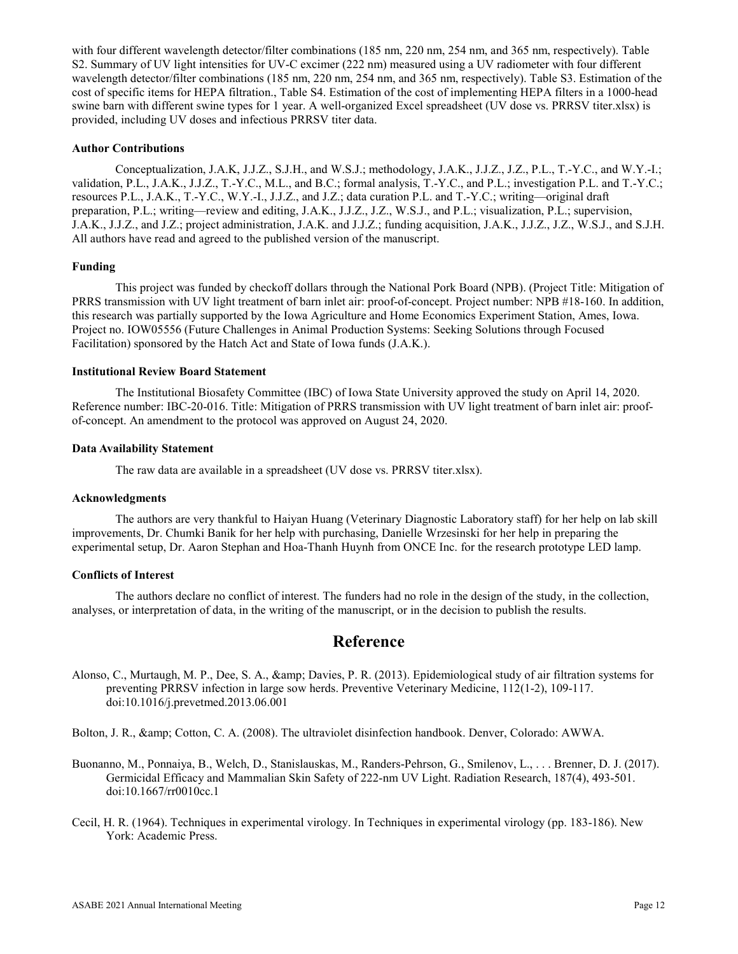with four different wavelength detector/filter combinations (185 nm, 220 nm, 254 nm, and 365 nm, respectively). Table S2. Summary of UV light intensities for UV-C excimer (222 nm) measured using a UV radiometer with four different wavelength detector/filter combinations (185 nm, 220 nm, 254 nm, and 365 nm, respectively). Table S3. Estimation of the cost of specific items for HEPA filtration., Table S4. Estimation of the cost of implementing HEPA filters in a 1000-head swine barn with different swine types for 1 year. A well-organized Excel spreadsheet (UV dose vs. PRRSV titer.xlsx) is provided, including UV doses and infectious PRRSV titer data.

### **Author Contributions**

Conceptualization, J.A.K, J.J.Z., S.J.H., and W.S.J.; methodology, J.A.K., J.J.Z., J.Z., P.L., T.-Y.C., and W.Y.-I.; validation, P.L., J.A.K., J.J.Z., T.-Y.C., M.L., and B.C.; formal analysis, T.-Y.C., and P.L.; investigation P.L. and T.-Y.C.; resources P.L., J.A.K., T.-Y.C., W.Y.-I., J.J.Z., and J.Z.; data curation P.L. and T.-Y.C.; writing—original draft preparation, P.L.; writing—review and editing, J.A.K., J.J.Z., J.Z., W.S.J., and P.L.; visualization, P.L.; supervision, J.A.K., J.J.Z., and J.Z.; project administration, J.A.K. and J.J.Z.; funding acquisition, J.A.K., J.J.Z., J.Z., W.S.J., and S.J.H. All authors have read and agreed to the published version of the manuscript.

### **Funding**

This project was funded by checkoff dollars through the National Pork Board (NPB). (Project Title: Mitigation of PRRS transmission with UV light treatment of barn inlet air: proof-of-concept. Project number: NPB #18-160. In addition, this research was partially supported by the Iowa Agriculture and Home Economics Experiment Station, Ames, Iowa. Project no. IOW05556 (Future Challenges in Animal Production Systems: Seeking Solutions through Focused Facilitation) sponsored by the Hatch Act and State of Iowa funds (J.A.K.).

### **Institutional Review Board Statement**

The Institutional Biosafety Committee (IBC) of Iowa State University approved the study on April 14, 2020. Reference number: IBC-20-016. Title: Mitigation of PRRS transmission with UV light treatment of barn inlet air: proofof-concept. An amendment to the protocol was approved on August 24, 2020.

#### **Data Availability Statement**

The raw data are available in a spreadsheet (UV dose vs. PRRSV titer.xlsx).

#### **Acknowledgments**

The authors are very thankful to Haiyan Huang (Veterinary Diagnostic Laboratory staff) for her help on lab skill improvements, Dr. Chumki Banik for her help with purchasing, Danielle Wrzesinski for her help in preparing the experimental setup, Dr. Aaron Stephan and Hoa-Thanh Huynh from ONCE Inc. for the research prototype LED lamp.

# **Conflicts of Interest**

The authors declare no conflict of interest. The funders had no role in the design of the study, in the collection, analyses, or interpretation of data, in the writing of the manuscript, or in the decision to publish the results.

# **Reference**

Alonso, C., Murtaugh, M. P., Dee, S. A., & amp; Davies, P. R. (2013). Epidemiological study of air filtration systems for preventing PRRSV infection in large sow herds. Preventive Veterinary Medicine, 112(1-2), 109-117. doi:10.1016/j.prevetmed.2013.06.001

Bolton, J. R., & amp; Cotton, C. A. (2008). The ultraviolet disinfection handbook. Denver, Colorado: AWWA.

- Buonanno, M., Ponnaiya, B., Welch, D., Stanislauskas, M., Randers-Pehrson, G., Smilenov, L., . . . Brenner, D. J. (2017). Germicidal Efficacy and Mammalian Skin Safety of 222-nm UV Light. Radiation Research, 187(4), 493-501. doi:10.1667/rr0010cc.1
- Cecil, H. R. (1964). Techniques in experimental virology. In Techniques in experimental virology (pp. 183-186). New York: Academic Press.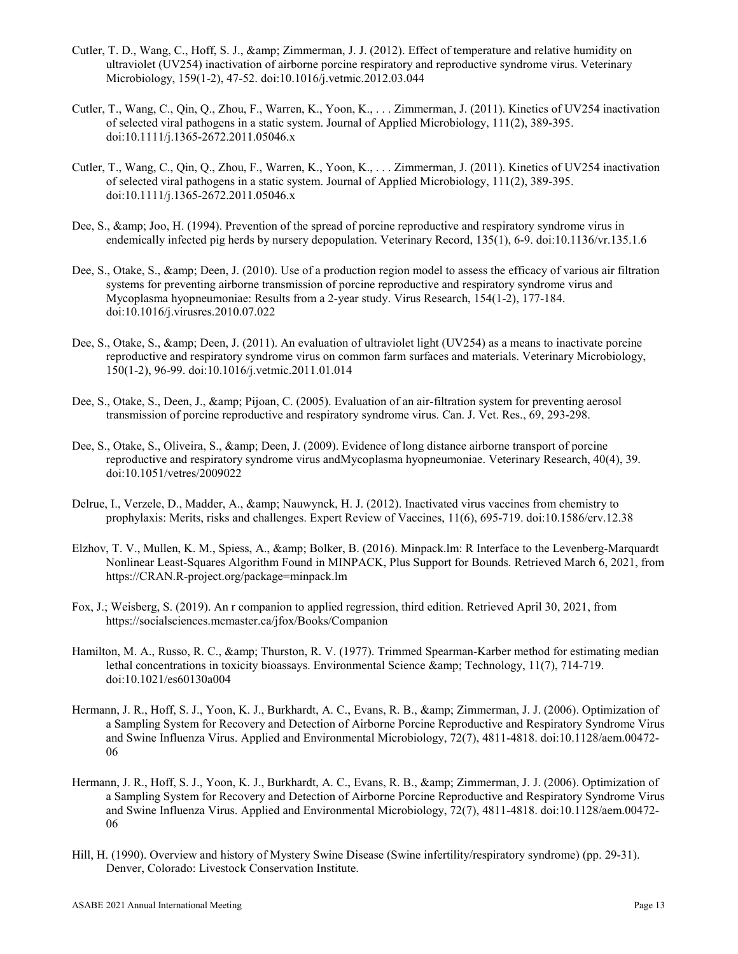- Cutler, T. D., Wang, C., Hoff, S. J., & amp; Zimmerman, J. J. (2012). Effect of temperature and relative humidity on ultraviolet (UV254) inactivation of airborne porcine respiratory and reproductive syndrome virus. Veterinary Microbiology, 159(1-2), 47-52. doi:10.1016/j.vetmic.2012.03.044
- Cutler, T., Wang, C., Qin, Q., Zhou, F., Warren, K., Yoon, K., . . . Zimmerman, J. (2011). Kinetics of UV254 inactivation of selected viral pathogens in a static system. Journal of Applied Microbiology, 111(2), 389-395. doi:10.1111/j.1365-2672.2011.05046.x
- Cutler, T., Wang, C., Qin, Q., Zhou, F., Warren, K., Yoon, K., . . . Zimmerman, J. (2011). Kinetics of UV254 inactivation of selected viral pathogens in a static system. Journal of Applied Microbiology, 111(2), 389-395. doi:10.1111/j.1365-2672.2011.05046.x
- Dee, S., & amp; Joo, H. (1994). Prevention of the spread of porcine reproductive and respiratory syndrome virus in endemically infected pig herds by nursery depopulation. Veterinary Record, 135(1), 6-9. doi:10.1136/vr.135.1.6
- Dee, S., Otake, S., & amp; Deen, J. (2010). Use of a production region model to assess the efficacy of various air filtration systems for preventing airborne transmission of porcine reproductive and respiratory syndrome virus and Mycoplasma hyopneumoniae: Results from a 2-year study. Virus Research, 154(1-2), 177-184. doi:10.1016/j.virusres.2010.07.022
- Dee, S., Otake, S., & amp; Deen, J. (2011). An evaluation of ultraviolet light (UV254) as a means to inactivate porcine reproductive and respiratory syndrome virus on common farm surfaces and materials. Veterinary Microbiology, 150(1-2), 96-99. doi:10.1016/j.vetmic.2011.01.014
- Dee, S., Otake, S., Deen, J., & amp; Pijoan, C. (2005). Evaluation of an air-filtration system for preventing aerosol transmission of porcine reproductive and respiratory syndrome virus. Can. J. Vet. Res., 69, 293-298.
- Dee, S., Otake, S., Oliveira, S., & amp; Deen, J. (2009). Evidence of long distance airborne transport of porcine reproductive and respiratory syndrome virus andMycoplasma hyopneumoniae. Veterinary Research, 40(4), 39. doi:10.1051/vetres/2009022
- Delrue, I., Verzele, D., Madder, A., & amp; Nauwynck, H. J. (2012). Inactivated virus vaccines from chemistry to prophylaxis: Merits, risks and challenges. Expert Review of Vaccines, 11(6), 695-719. doi:10.1586/erv.12.38
- Elzhov, T. V., Mullen, K. M., Spiess, A., & amp; Bolker, B. (2016). Minpack.lm: R Interface to the Levenberg-Marquardt Nonlinear Least-Squares Algorithm Found in MINPACK, Plus Support for Bounds. Retrieved March 6, 2021, from https://CRAN.R-project.org/package=minpack.lm
- Fox, J.; Weisberg, S. (2019). An r companion to applied regression, third edition. Retrieved April 30, 2021, from https://socialsciences.mcmaster.ca/jfox/Books/Companion
- Hamilton, M. A., Russo, R. C., & amp; Thurston, R. V. (1977). Trimmed Spearman-Karber method for estimating median lethal concentrations in toxicity bioassays. Environmental Science & amp; Technology, 11(7), 714-719. doi:10.1021/es60130a004
- Hermann, J. R., Hoff, S. J., Yoon, K. J., Burkhardt, A. C., Evans, R. B., & Zimmerman, J. J. (2006). Optimization of a Sampling System for Recovery and Detection of Airborne Porcine Reproductive and Respiratory Syndrome Virus and Swine Influenza Virus. Applied and Environmental Microbiology, 72(7), 4811-4818. doi:10.1128/aem.00472- 06
- Hermann, J. R., Hoff, S. J., Yoon, K. J., Burkhardt, A. C., Evans, R. B., & Zimmerman, J. J. (2006). Optimization of a Sampling System for Recovery and Detection of Airborne Porcine Reproductive and Respiratory Syndrome Virus and Swine Influenza Virus. Applied and Environmental Microbiology, 72(7), 4811-4818. doi:10.1128/aem.00472- 06
- Hill, H. (1990). Overview and history of Mystery Swine Disease (Swine infertility/respiratory syndrome) (pp. 29-31). Denver, Colorado: Livestock Conservation Institute.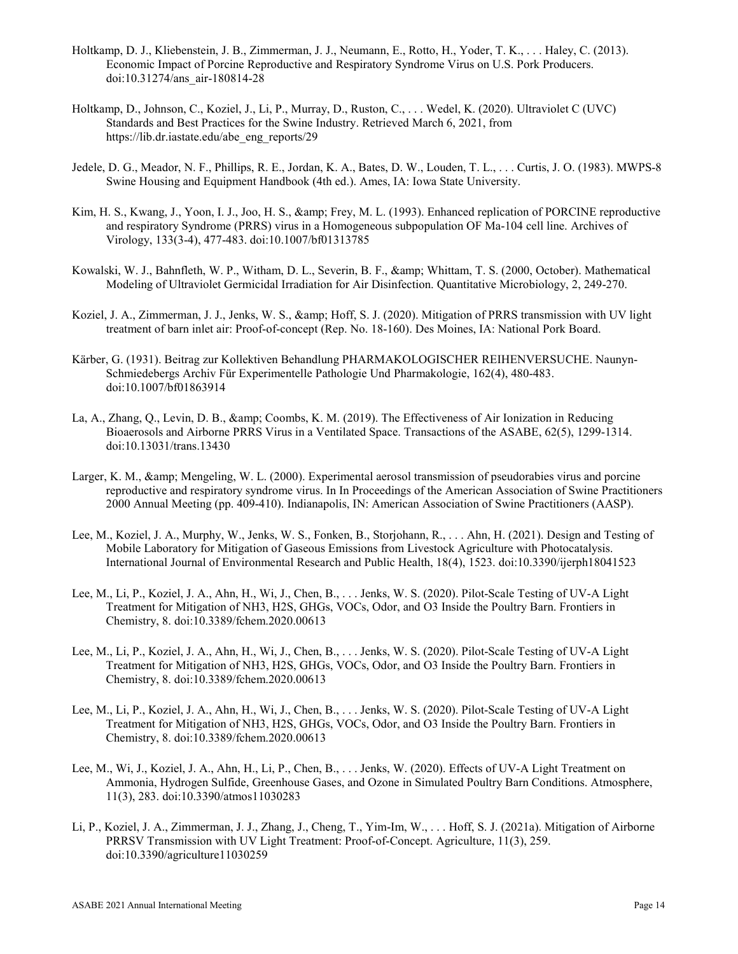- Holtkamp, D. J., Kliebenstein, J. B., Zimmerman, J. J., Neumann, E., Rotto, H., Yoder, T. K., . . . Haley, C. (2013). Economic Impact of Porcine Reproductive and Respiratory Syndrome Virus on U.S. Pork Producers. doi:10.31274/ans\_air-180814-28
- Holtkamp, D., Johnson, C., Koziel, J., Li, P., Murray, D., Ruston, C., . . . Wedel, K. (2020). Ultraviolet C (UVC) Standards and Best Practices for the Swine Industry. Retrieved March 6, 2021, from https://lib.dr.iastate.edu/abe\_eng\_reports/29
- Jedele, D. G., Meador, N. F., Phillips, R. E., Jordan, K. A., Bates, D. W., Louden, T. L., . . . Curtis, J. O. (1983). MWPS-8 Swine Housing and Equipment Handbook (4th ed.). Ames, IA: Iowa State University.
- Kim, H. S., Kwang, J., Yoon, I. J., Joo, H. S., & amp; Frey, M. L. (1993). Enhanced replication of PORCINE reproductive and respiratory Syndrome (PRRS) virus in a Homogeneous subpopulation OF Ma-104 cell line. Archives of Virology, 133(3-4), 477-483. doi:10.1007/bf01313785
- Kowalski, W. J., Bahnfleth, W. P., Witham, D. L., Severin, B. F., & amp; Whittam, T. S. (2000, October). Mathematical Modeling of Ultraviolet Germicidal Irradiation for Air Disinfection. Quantitative Microbiology, 2, 249-270.
- Koziel, J. A., Zimmerman, J. J., Jenks, W. S., & amp; Hoff, S. J. (2020). Mitigation of PRRS transmission with UV light treatment of barn inlet air: Proof-of-concept (Rep. No. 18-160). Des Moines, IA: National Pork Board.
- Kärber, G. (1931). Beitrag zur Kollektiven Behandlung PHARMAKOLOGISCHER REIHENVERSUCHE. Naunyn-Schmiedebergs Archiv Für Experimentelle Pathologie Und Pharmakologie, 162(4), 480-483. doi:10.1007/bf01863914
- La, A., Zhang, Q., Levin, D. B., & amp; Coombs, K. M. (2019). The Effectiveness of Air Ionization in Reducing Bioaerosols and Airborne PRRS Virus in a Ventilated Space. Transactions of the ASABE, 62(5), 1299-1314. doi:10.13031/trans.13430
- Larger, K. M., & amp; Mengeling, W. L. (2000). Experimental aerosol transmission of pseudorabies virus and porcine reproductive and respiratory syndrome virus. In In Proceedings of the American Association of Swine Practitioners 2000 Annual Meeting (pp. 409-410). Indianapolis, IN: American Association of Swine Practitioners (AASP).
- Lee, M., Koziel, J. A., Murphy, W., Jenks, W. S., Fonken, B., Storjohann, R., . . . Ahn, H. (2021). Design and Testing of Mobile Laboratory for Mitigation of Gaseous Emissions from Livestock Agriculture with Photocatalysis. International Journal of Environmental Research and Public Health, 18(4), 1523. doi:10.3390/ijerph18041523
- Lee, M., Li, P., Koziel, J. A., Ahn, H., Wi, J., Chen, B., . . . Jenks, W. S. (2020). Pilot-Scale Testing of UV-A Light Treatment for Mitigation of NH3, H2S, GHGs, VOCs, Odor, and O3 Inside the Poultry Barn. Frontiers in Chemistry, 8. doi:10.3389/fchem.2020.00613
- Lee, M., Li, P., Koziel, J. A., Ahn, H., Wi, J., Chen, B., . . . Jenks, W. S. (2020). Pilot-Scale Testing of UV-A Light Treatment for Mitigation of NH3, H2S, GHGs, VOCs, Odor, and O3 Inside the Poultry Barn. Frontiers in Chemistry, 8. doi:10.3389/fchem.2020.00613
- Lee, M., Li, P., Koziel, J. A., Ahn, H., Wi, J., Chen, B., . . . Jenks, W. S. (2020). Pilot-Scale Testing of UV-A Light Treatment for Mitigation of NH3, H2S, GHGs, VOCs, Odor, and O3 Inside the Poultry Barn. Frontiers in Chemistry, 8. doi:10.3389/fchem.2020.00613
- Lee, M., Wi, J., Koziel, J. A., Ahn, H., Li, P., Chen, B., . . . Jenks, W. (2020). Effects of UV-A Light Treatment on Ammonia, Hydrogen Sulfide, Greenhouse Gases, and Ozone in Simulated Poultry Barn Conditions. Atmosphere, 11(3), 283. doi:10.3390/atmos11030283
- Li, P., Koziel, J. A., Zimmerman, J. J., Zhang, J., Cheng, T., Yim-Im, W., . . . Hoff, S. J. (2021a). Mitigation of Airborne PRRSV Transmission with UV Light Treatment: Proof-of-Concept. Agriculture, 11(3), 259. doi:10.3390/agriculture11030259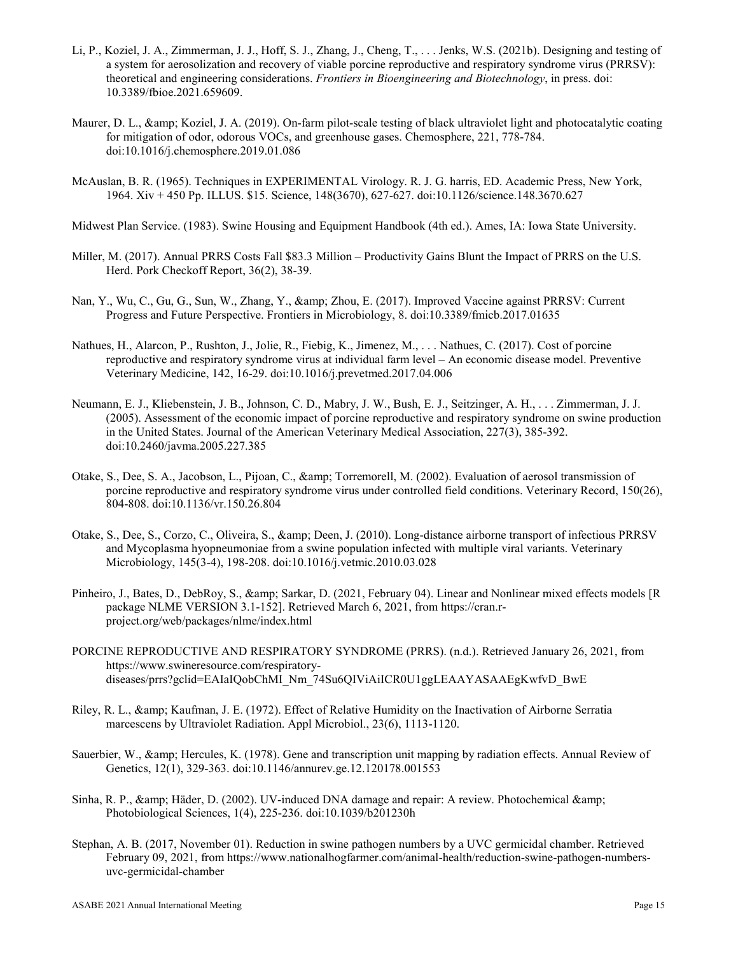- Li, P., Koziel, J. A., Zimmerman, J. J., Hoff, S. J., Zhang, J., Cheng, T., . . . Jenks, W.S. (2021b). Designing and testing of a system for aerosolization and recovery of viable porcine reproductive and respiratory syndrome virus (PRRSV): theoretical and engineering considerations. *Frontiers in Bioengineering and Biotechnology*, in press. doi: 10.3389/fbioe.2021.659609.
- Maurer, D. L., & amp; Koziel, J. A. (2019). On-farm pilot-scale testing of black ultraviolet light and photocatalytic coating for mitigation of odor, odorous VOCs, and greenhouse gases. Chemosphere, 221, 778-784. doi:10.1016/j.chemosphere.2019.01.086
- McAuslan, B. R. (1965). Techniques in EXPERIMENTAL Virology. R. J. G. harris, ED. Academic Press, New York, 1964. Xiv + 450 Pp. ILLUS. \$15. Science, 148(3670), 627-627. doi:10.1126/science.148.3670.627
- Midwest Plan Service. (1983). Swine Housing and Equipment Handbook (4th ed.). Ames, IA: Iowa State University.
- Miller, M. (2017). Annual PRRS Costs Fall \$83.3 Million Productivity Gains Blunt the Impact of PRRS on the U.S. Herd. Pork Checkoff Report, 36(2), 38-39.
- Nan, Y., Wu, C., Gu, G., Sun, W., Zhang, Y., & amp; Zhou, E. (2017). Improved Vaccine against PRRSV: Current Progress and Future Perspective. Frontiers in Microbiology, 8. doi:10.3389/fmicb.2017.01635
- Nathues, H., Alarcon, P., Rushton, J., Jolie, R., Fiebig, K., Jimenez, M., . . . Nathues, C. (2017). Cost of porcine reproductive and respiratory syndrome virus at individual farm level – An economic disease model. Preventive Veterinary Medicine, 142, 16-29. doi:10.1016/j.prevetmed.2017.04.006
- Neumann, E. J., Kliebenstein, J. B., Johnson, C. D., Mabry, J. W., Bush, E. J., Seitzinger, A. H., . . . Zimmerman, J. J. (2005). Assessment of the economic impact of porcine reproductive and respiratory syndrome on swine production in the United States. Journal of the American Veterinary Medical Association, 227(3), 385-392. doi:10.2460/javma.2005.227.385
- Otake, S., Dee, S. A., Jacobson, L., Pijoan, C., & amp; Torremorell, M. (2002). Evaluation of aerosol transmission of porcine reproductive and respiratory syndrome virus under controlled field conditions. Veterinary Record, 150(26), 804-808. doi:10.1136/vr.150.26.804
- Otake, S., Dee, S., Corzo, C., Oliveira, S., & amp; Deen, J. (2010). Long-distance airborne transport of infectious PRRSV and Mycoplasma hyopneumoniae from a swine population infected with multiple viral variants. Veterinary Microbiology, 145(3-4), 198-208. doi:10.1016/j.vetmic.2010.03.028
- Pinheiro, J., Bates, D., DebRoy, S., & amp; Sarkar, D. (2021, February 04). Linear and Nonlinear mixed effects models [R package NLME VERSION 3.1-152]. Retrieved March 6, 2021, from https://cran.rproject.org/web/packages/nlme/index.html
- PORCINE REPRODUCTIVE AND RESPIRATORY SYNDROME (PRRS). (n.d.). Retrieved January 26, 2021, from https://www.swineresource.com/respiratorydiseases/prrs?gclid=EAIaIQobChMI\_Nm\_74Su6QIViAiICR0U1ggLEAAYASAAEgKwfvD\_BwE
- Riley, R. L., & amp; Kaufman, J. E. (1972). Effect of Relative Humidity on the Inactivation of Airborne Serratia marcescens by Ultraviolet Radiation. Appl Microbiol., 23(6), 1113-1120.
- Sauerbier, W., & amp; Hercules, K. (1978). Gene and transcription unit mapping by radiation effects. Annual Review of Genetics, 12(1), 329-363. doi:10.1146/annurev.ge.12.120178.001553
- Sinha, R. P., & amp; Häder, D. (2002). UV-induced DNA damage and repair: A review. Photochemical & amp; Photobiological Sciences, 1(4), 225-236. doi:10.1039/b201230h
- Stephan, A. B. (2017, November 01). Reduction in swine pathogen numbers by a UVC germicidal chamber. Retrieved February 09, 2021, from https://www.nationalhogfarmer.com/animal-health/reduction-swine-pathogen-numbersuvc-germicidal-chamber